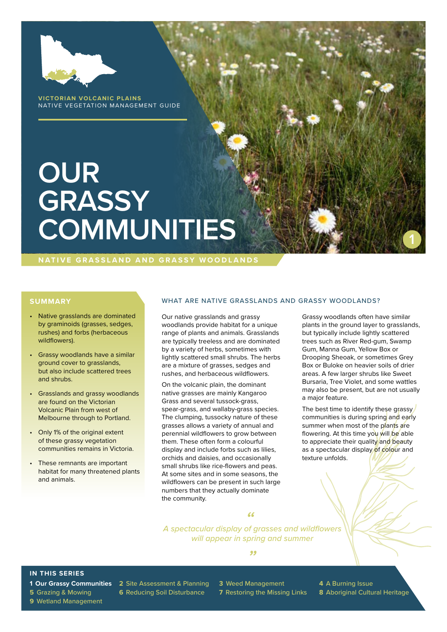

**VICTORIAN VOLCANIC PLAINS** NATIVE VEGETATION MANAGEMENT GUIDE

# **OUR GRASSY COMMUNITIES**

**NATIVE GRASSLAND AND GRASSY WOODLANDS**

- Native grasslands are dominated by graminoids (grasses, sedges, rushes) and forbs (herbaceous wildflowers).
- Grassy woodlands have a similar ground cover to grasslands, but also include scattered trees and shrubs.
- Grasslands and grassy woodlands are found on the Victorian Volcanic Plain from west of Melbourne through to Portland.
- Only 1% of the original extent of these grassy vegetation communities remains in Victoria.
- These remnants are important habitat for many threatened plants and animals.

#### **SUMMARY WHAT ARE NATIVE GRASSLANDS AND GRASSY WOODLANDS?**

Our native grasslands and grassy woodlands provide habitat for a unique range of plants and animals. Grasslands are typically treeless and are dominated by a variety of herbs, sometimes with lightly scattered small shrubs. The herbs are a mixture of grasses, sedges and rushes, and herbaceous wildflowers.

On the volcanic plain, the dominant native grasses are mainly Kangaroo Grass and several tussock-grass, spear-grass, and wallaby-grass species. The clumping, tussocky nature of these grasses allows a variety of annual and perennial wildflowers to grow between them. These often form a colourful display and include forbs such as lilies, orchids and daisies, and occasionally small shrubs like rice-flowers and peas. At some sites and in some seasons, the wildflowers can be present in such large numbers that they actually dominate the community.

Grassy woodlands often have similar plants in the ground layer to grasslands, but typically include lightly scattered trees such as River Red-gum, Swamp Gum, Manna Gum, Yellow Box or Drooping Sheoak, or sometimes Grey Box or Buloke on heavier soils of drier areas. A few larger shrubs like Sweet Bursaria, Tree Violet, and some wattles may also be present, but are not usually a major feature.

**1**

The best time to identify these grassy communities is during spring and early summer when most of the plants are flowering. At this time you will be able to appreciate their quality and beauty as a spectacular display of colour and texture unfolds.

*A spectacular display of grasses and wildflowers " will appear in spring and summer*

*"*

#### **IN THIS SERIES**

**9** Wetland Management

**1 Our Grassy Communities 2** Site Assessment & Planning **3** Weed Management **4** A Burning Issue

- 
- **5** Grazing & Mowing **6** Reducing Soil Disturbance **7** Restoring the Missing Links **8** Aboriginal Cultural Heritage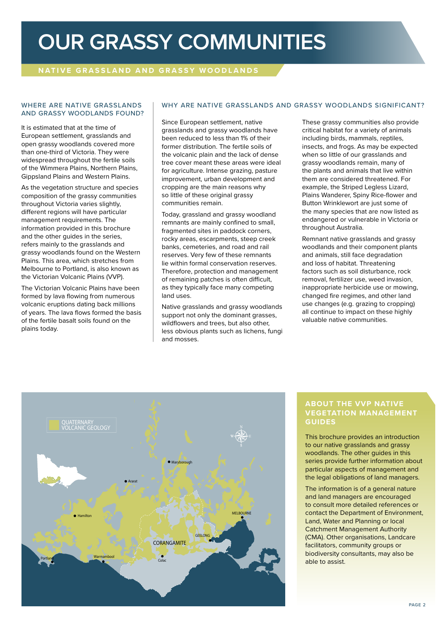### **OUR GRASSY COMMUNITIES**

#### **NATIVE GRASSLAND AND GRASSY WOODLANDS**

#### WHERE ARE NATIVE GRASSLANDS AND GRASSY WOODLANDS FOUND?

It is estimated that at the time of European settlement, grasslands and open grassy woodlands covered more than one-third of Victoria. They were widespread throughout the fertile soils of the Wimmera Plains, Northern Plains, Gippsland Plains and Western Plains.

As the vegetation structure and species composition of the grassy communities throughout Victoria varies slightly, different regions will have particular management requirements. The information provided in this brochure and the other quides in the series. refers mainly to the grasslands and grassy woodlands found on the Western Plains. This area, which stretches from Melbourne to Portland, is also known as the Victorian Volcanic Plains (VVP).

The Victorian Volcanic Plains have been formed by lava flowing from numerous volcanic eruptions dating back millions of years. The lava flows formed the basis of the fertile basalt soils found on the plains today.

#### WHY ARE NATIVE GRASSLANDS AND GRASSY WOODLANDS SIGNIFICANT?

Since European settlement, native grasslands and grassy woodlands have been reduced to less than 1% of their former distribution. The fertile soils of the volcanic plain and the lack of dense tree cover meant these areas were ideal for agriculture. Intense grazing, pasture improvement, urban development and cropping are the main reasons why so little of these original grassy communities remain.

Today, grassland and grassy woodland remnants are mainly confined to small, fragmented sites in paddock corners, rocky areas, escarpments, steep creek banks, cemeteries, and road and rail reserves. Very few of these remnants lie within formal conservation reserves. Therefore, protection and management of remaining patches is often difficult, as they typically face many competing land uses.

Native grasslands and grassy woodlands support not only the dominant grasses, wildflowers and trees, but also other, less obvious plants such as lichens, fungi and mosses.

These grassy communities also provide critical habitat for a variety of animals including birds, mammals, reptiles, insects, and frogs. As may be expected when so little of our grasslands and grassy woodlands remain, many of the plants and animals that live within them are considered threatened. For example, the Striped Legless Lizard, Plains Wanderer, Spiny Rice-flower and Button Wrinklewort are just some of the many species that are now listed as endangered or vulnerable in Victoria or throughout Australia.

Remnant native grasslands and grassy woodlands and their component plants and animals, still face degradation and loss of habitat. Threatening factors such as soil disturbance, rock removal, fertilizer use, weed invasion, inappropriate herbicide use or mowing, changed fire regimes, and other land use changes (e.g. grazing to cropping) all continue to impact on these highly valuable native communities.



#### **ABOUT THE VVP NATIVE VEGETATION MANAGEMENT GUIDES**

This brochure provides an introduction to our native grasslands and grassy woodlands. The other guides in this series provide further information about particular aspects of management and the legal obligations of land managers.

The information is of a general nature and land managers are encouraged to consult more detailed references or contact the Department of Environment, Land, Water and Planning or local Catchment Management Authority (CMA). Other organisations, Landcare facilitators, community groups or biodiversity consultants, may also be able to assist.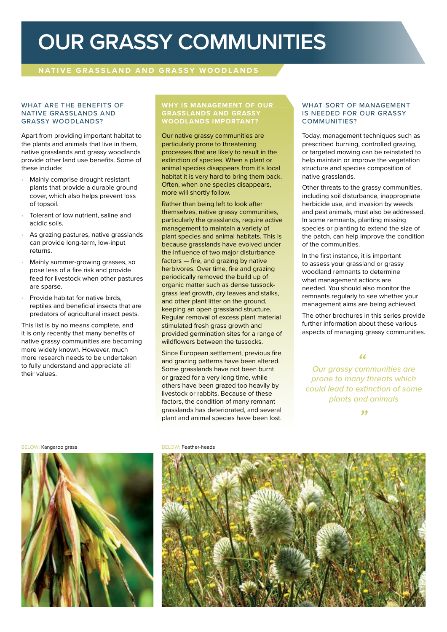### **OUR GRASSY COMMUNITIES**

#### **NATIVE GRASSLAND AND GRASSY WOODLANDS**

#### WHAT ARE THE BENEFITS OF NATIVE GRASSLANDS AND GRASSY WOODLANDS?

Apart from providing important habitat to the plants and animals that live in them, native grasslands and grassy woodlands provide other land use benefits. Some of these include:

- Mainly comprise drought resistant plants that provide a durable ground cover, which also helps prevent loss of topsoil.
- Tolerant of low nutrient, saline and acidic soils.
- As grazing pastures, native grasslands can provide long-term, low-input returns.
- Mainly summer-growing grasses, so pose less of a fire risk and provide feed for livestock when other pastures are sparse.
- Provide habitat for native birds, reptiles and beneficial insects that are predators of agricultural insect pests.

This list is by no means complete, and it is only recently that many benefits of native grassy communities are becoming more widely known. However, much more research needs to be undertaken to fully understand and appreciate all their values.

#### **WHY IS MANAGEMENT OF OUR GRASSLANDS AND GRASSY WOODLANDS IMPORTANT?**

Our native grassy communities are particularly prone to threatening processes that are likely to result in the extinction of species. When a plant or animal species disappears from it's local habitat it is very hard to bring them back. Often, when one species disappears, more will shortly follow.

Rather than being left to look after themselves, native grassy communities, particularly the grasslands, require active management to maintain a variety of plant species and animal habitats. This is because grasslands have evolved under the influence of two major disturbance factors — fire, and grazing by native herbivores. Over time, fire and grazing periodically removed the build up of organic matter such as dense tussockgrass leaf growth, dry leaves and stalks, and other plant litter on the ground, keeping an open grassland structure. Regular removal of excess plant material stimulated fresh grass growth and provided germination sites for a range of wildflowers between the tussocks.

Since European settlement, previous fire and grazing patterns have been altered. Some grasslands have not been burnt or grazed for a very long time, while others have been grazed too heavily by livestock or rabbits. Because of these factors, the condition of many remnant grasslands has deteriorated, and several plant and animal species have been lost.

#### WHAT SORT OF MANAGEMENT IS NEEDED FOR OUR GRASSY COMMUNITIES?

Today, management techniques such as prescribed burning, controlled grazing, or targeted mowing can be reinstated to help maintain or improve the vegetation structure and species composition of native grasslands.

Other threats to the grassy communities, including soil disturbance, inappropriate herbicide use, and invasion by weeds and pest animals, must also be addressed. In some remnants, planting missing species or planting to extend the size of the patch, can help improve the condition of the communities.

In the first instance, it is important to assess your grassland or grassy woodland remnants to determine what management actions are needed. You should also monitor the remnants regularly to see whether your management aims are being achieved.

The other brochures in this series provide further information about these various aspects of managing grassy communities.

*Our grassy communities are " prone to many threats which could lead to extinction of some plants and animals*

*"*

BELOW: Kangaroo grass BELOW: Feather-heads